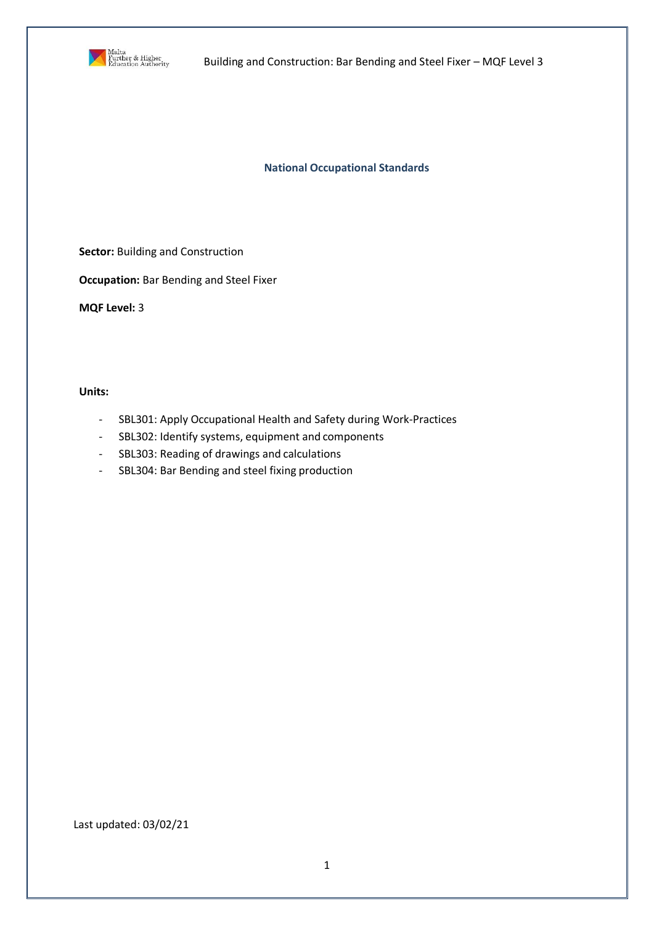

Building and Construction: Bar Bending and Steel Fixer – MQF Level 3

**National Occupational Standards**

**Sector: Building and Construction** 

**Occupation:** Bar Bending and Steel Fixer

**MQF Level:** 3

**Units:**

- SBL301: Apply Occupational Health and Safety during Work-Practices
- SBL302: Identify systems, equipment and components
- SBL303: Reading of drawings and calculations
- SBL304: Bar Bending and steel fixing production

### Last updated: 03/02/21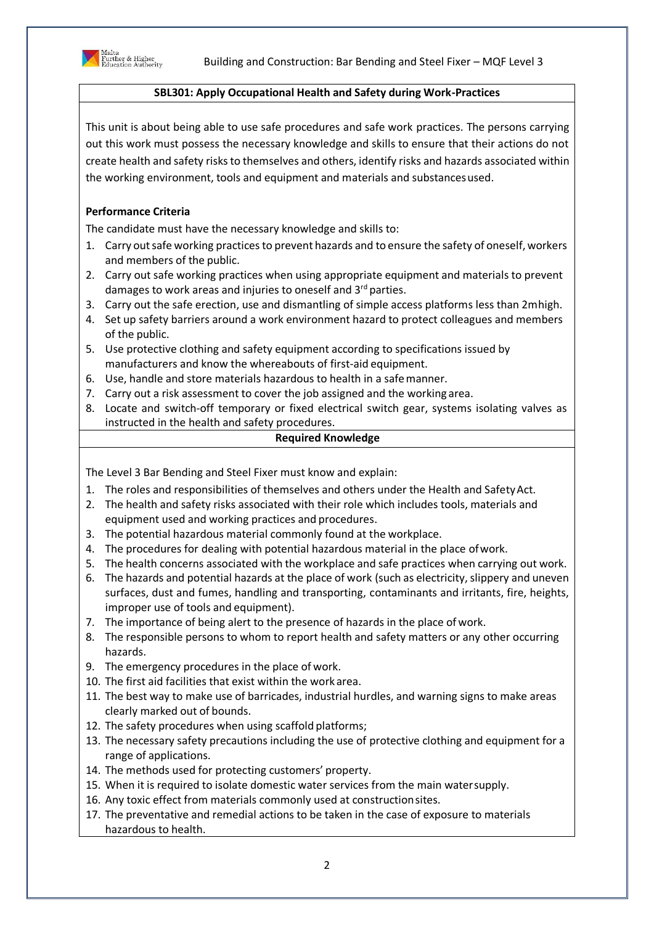



## **SBL301: Apply Occupational Health and Safety during Work-Practices**

This unit is about being able to use safe procedures and safe work practices. The persons carrying out this work must possess the necessary knowledge and skills to ensure that their actions do not create health and safety risks to themselves and others, identify risks and hazards associated within the working environment, tools and equipment and materials and substancesused.

# **Performance Criteria**

The candidate must have the necessary knowledge and skills to:

- 1. Carry out safe working practices to prevent hazards and to ensure the safety of oneself, workers and members of the public.
- 2. Carry out safe working practices when using appropriate equipment and materials to prevent damages to work areas and injuries to oneself and 3<sup>rd</sup> parties.
- 3. Carry out the safe erection, use and dismantling of simple access platforms less than 2mhigh.
- 4. Set up safety barriers around a work environment hazard to protect colleagues and members of the public.
- 5. Use protective clothing and safety equipment according to specifications issued by manufacturers and know the whereabouts of first-aid equipment.
- 6. Use, handle and store materials hazardous to health in a safemanner.
- 7. Carry out a risk assessment to cover the job assigned and the working area.
- 8. Locate and switch-off temporary or fixed electrical switch gear, systems isolating valves as instructed in the health and safety procedures.

### **Required Knowledge**

The Level 3 Bar Bending and Steel Fixer must know and explain:

- 1. The roles and responsibilities of themselves and others under the Health and SafetyAct.
- 2. The health and safety risks associated with their role which includes tools, materials and equipment used and working practices and procedures.
- 3. The potential hazardous material commonly found at the workplace.
- 4. The procedures for dealing with potential hazardous material in the place ofwork.
- 5. The health concerns associated with the workplace and safe practices when carrying out work.
- 6. The hazards and potential hazards at the place of work (such as electricity, slippery and uneven surfaces, dust and fumes, handling and transporting, contaminants and irritants, fire, heights, improper use of tools and equipment).
- 7. The importance of being alert to the presence of hazards in the place of work.
- 8. The responsible persons to whom to report health and safety matters or any other occurring hazards.
- 9. The emergency procedures in the place of work.
- 10. The first aid facilities that exist within the work area.
- 11. The best way to make use of barricades, industrial hurdles, and warning signs to make areas clearly marked out of bounds.
- 12. The safety procedures when using scaffold platforms;
- 13. The necessary safety precautions including the use of protective clothing and equipment for a range of applications.
- 14. The methods used for protecting customers' property.
- 15. When it is required to isolate domestic water services from the main watersupply.
- 16. Any toxic effect from materials commonly used at constructionsites.
- 17. The preventative and remedial actions to be taken in the case of exposure to materials hazardous to health.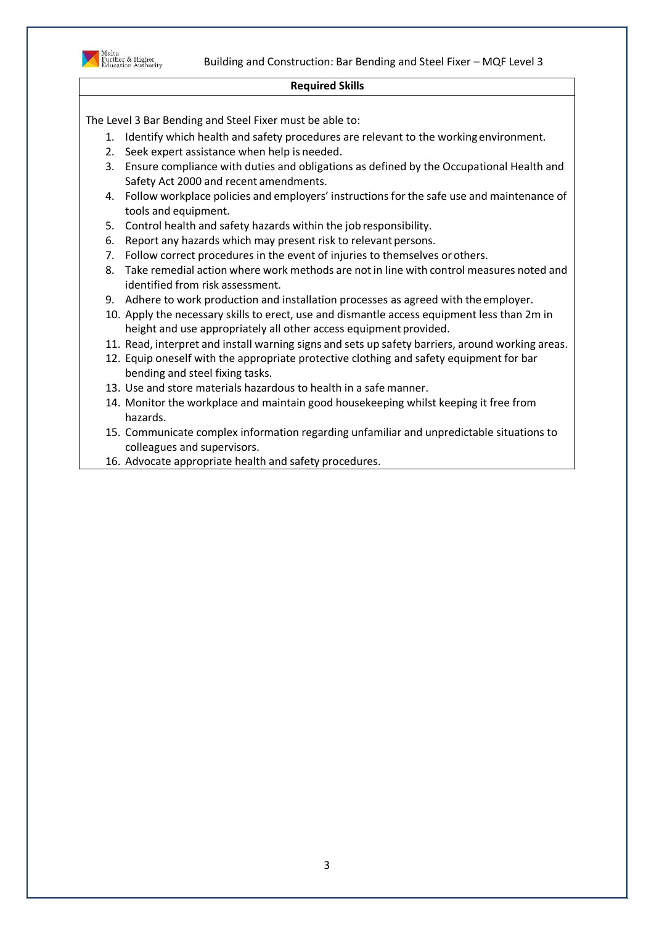

### **Required Skills**

- 1. Identify which health and safety procedures are relevant to the working environment.
- 2. Seek expert assistance when help is needed.
- 3. Ensure compliance with duties and obligations as defined by the Occupational Health and Safety Act 2000 and recent amendments.
- 4. Follow workplace policies and employers' instructions for the safe use and maintenance of tools and equipment.
- 5. Control health and safety hazards within the job responsibility.
- 6. Report any hazards which may present risk to relevant persons.
- 7. Follow correct procedures in the event of injuries to themselves orothers.
- 8. Take remedial action where work methods are notin line with control measures noted and identified from risk assessment.
- 9. Adhere to work production and installation processes as agreed with the employer.
- 10. Apply the necessary skills to erect, use and dismantle access equipment less than 2m in height and use appropriately all other access equipment provided.
- 11. Read, interpret and install warning signs and sets up safety barriers, around working areas.
- 12. Equip oneself with the appropriate protective clothing and safety equipment for bar bending and steel fixing tasks.
- 13. Use and store materials hazardous to health in a safe manner.
- 14. Monitor the workplace and maintain good housekeeping whilst keeping it free from hazards.
- 15. Communicate complex information regarding unfamiliar and unpredictable situations to colleagues and supervisors.
- 16. Advocate appropriate health and safety procedures.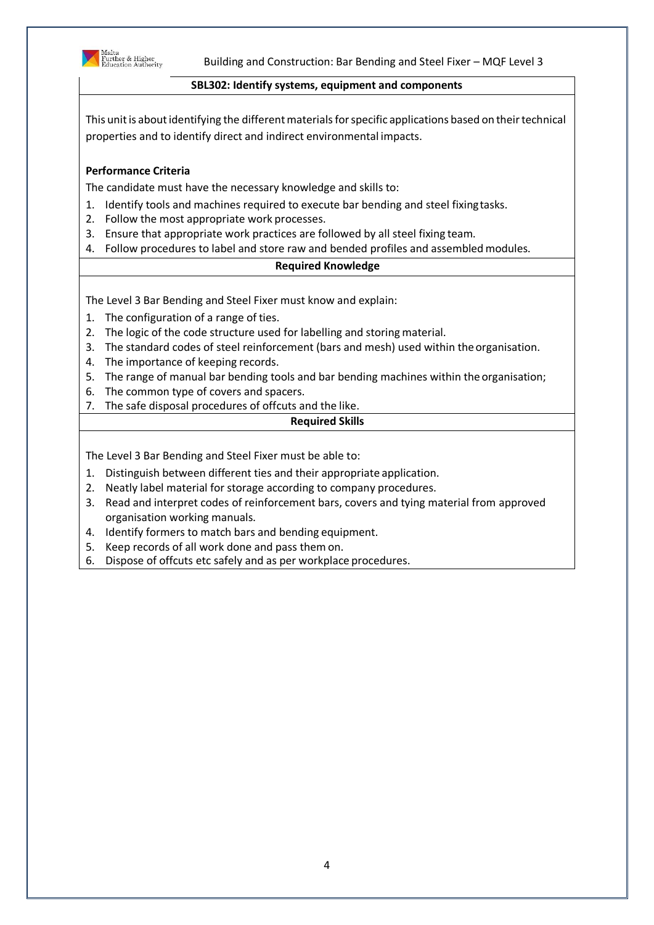

### **SBL302: Identify systems, equipment and components**

This unit is about identifying the different materials for specific applications based on their technical properties and to identify direct and indirect environmental impacts.

## **Performance Criteria**

The candidate must have the necessary knowledge and skills to:

- 1. Identify tools and machines required to execute bar bending and steel fixingtasks.
- 2. Follow the most appropriate work processes.
- 3. Ensure that appropriate work practices are followed by all steel fixing team.
- 4. Follow procedures to label and store raw and bended profiles and assembledmodules.

#### **Required Knowledge**

The Level 3 Bar Bending and Steel Fixer must know and explain:

- 1. The configuration of a range of ties.
- 2. The logic of the code structure used for labelling and storing material.
- 3. The standard codes of steel reinforcement (bars and mesh) used within the organisation.
- 4. The importance of keeping records.
- 5. The range of manual bar bending tools and bar bending machines within the organisation;
- 6. The common type of covers and spacers.
- 7. The safe disposal procedures of offcuts and the like.

### **Required Skills**

- 1. Distinguish between different ties and their appropriate application.
- 2. Neatly label material for storage according to company procedures.
- 3. Read and interpret codes of reinforcement bars, covers and tying material from approved organisation working manuals.
- 4. Identify formers to match bars and bending equipment.
- 5. Keep records of all work done and pass them on.
- 6. Dispose of offcuts etc safely and as per workplace procedures.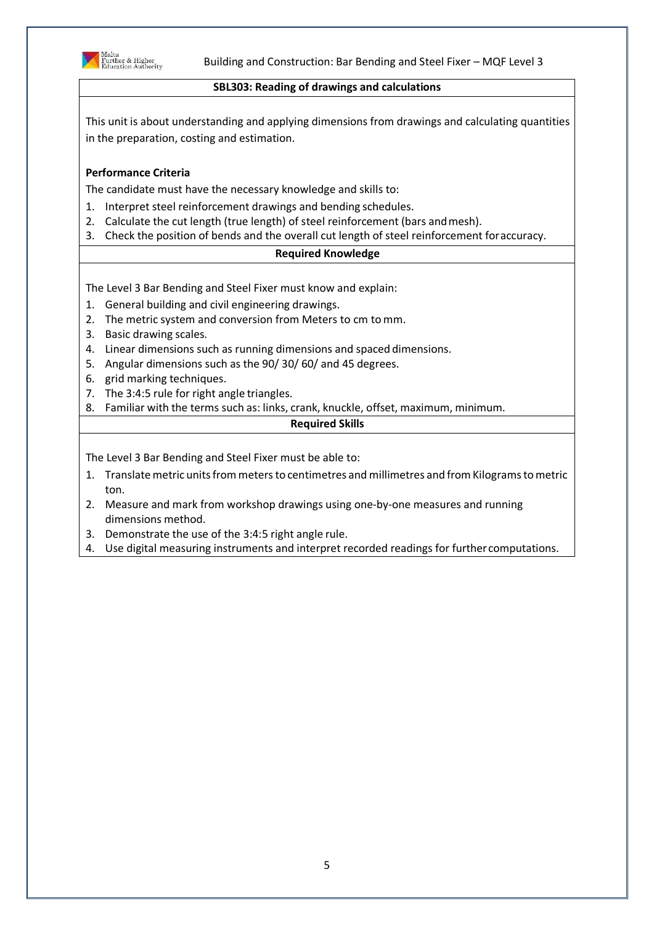

Building and Construction: Bar Bending and Steel Fixer – MQF Level 3

### **SBL303: Reading of drawings and calculations**

This unit is about understanding and applying dimensions from drawings and calculating quantities in the preparation, costing and estimation.

## **Performance Criteria**

The candidate must have the necessary knowledge and skills to:

- 1. Interpret steel reinforcement drawings and bending schedules.
- 2. Calculate the cut length (true length) of steel reinforcement (bars andmesh).
- 3. Check the position of bends and the overall cut length of steel reinforcement foraccuracy.

### **Required Knowledge**

The Level 3 Bar Bending and Steel Fixer must know and explain:

- 1. General building and civil engineering drawings.
- 2. The metric system and conversion from Meters to cm to mm.
- 3. Basic drawing scales.
- 4. Linear dimensions such as running dimensions and spaced dimensions.
- 5. Angular dimensions such as the 90/ 30/ 60/ and 45 degrees.
- 6. grid marking techniques.
- 7. The 3:4:5 rule for right angle triangles.
- 8. Familiar with the terms such as: links, crank, knuckle, offset, maximum, minimum.

#### **Required Skills**

- 1. Translate metric units from meters to centimetres and millimetres and from Kilograms to metric ton.
- 2. Measure and mark from workshop drawings using one-by-one measures and running dimensions method.
- 3. Demonstrate the use of the 3:4:5 right angle rule.
- 4. Use digital measuring instruments and interpret recorded readings for further computations.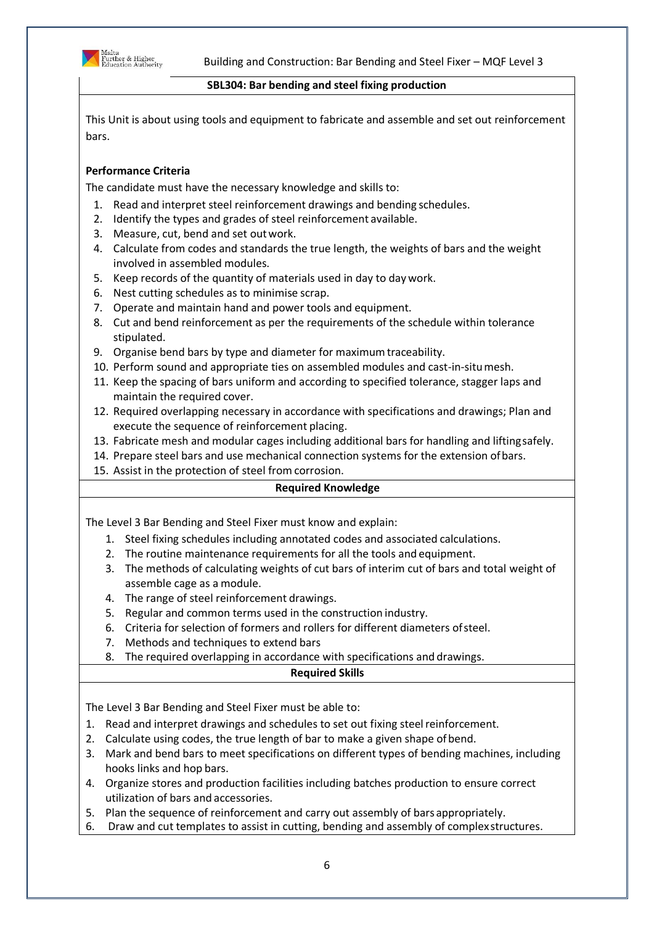

### **SBL304: Bar bending and steel fixing production**

This Unit is about using tools and equipment to fabricate and assemble and set out reinforcement bars.

# **Performance Criteria**

The candidate must have the necessary knowledge and skills to:

- 1. Read and interpret steel reinforcement drawings and bending schedules.
- 2. Identify the types and grades of steel reinforcement available.
- 3. Measure, cut, bend and set outwork.
- 4. Calculate from codes and standards the true length, the weights of bars and the weight involved in assembled modules.
- 5. Keep records of the quantity of materials used in day to day work.
- 6. Nest cutting schedules as to minimise scrap.
- 7. Operate and maintain hand and power tools and equipment.
- 8. Cut and bend reinforcement as per the requirements of the schedule within tolerance stipulated.
- 9. Organise bend bars by type and diameter for maximumtraceability.
- 10. Perform sound and appropriate ties on assembled modules and cast-in-situmesh.
- 11. Keep the spacing of bars uniform and according to specified tolerance, stagger laps and maintain the required cover.
- 12. Required overlapping necessary in accordance with specifications and drawings; Plan and execute the sequence of reinforcement placing.
- 13. Fabricate mesh and modular cages including additional bars for handling and liftingsafely.
- 14. Prepare steel bars and use mechanical connection systems for the extension ofbars.
- 15. Assist in the protection of steel from corrosion.

## **Required Knowledge**

The Level 3 Bar Bending and Steel Fixer must know and explain:

- 1. Steel fixing schedules including annotated codes and associated calculations.
- 2. The routine maintenance requirements for all the tools and equipment.
- 3. The methods of calculating weights of cut bars of interim cut of bars and total weight of assemble cage as a module.
- 4. The range of steel reinforcement drawings.
- 5. Regular and common terms used in the construction industry.
- 6. Criteria for selection of formers and rollers for different diameters ofsteel.
- 7. Methods and techniques to extend bars
- 8. The required overlapping in accordance with specifications and drawings.

## **Required Skills**

- 1. Read and interpret drawings and schedules to set out fixing steelreinforcement.
- 2. Calculate using codes, the true length of bar to make a given shape of bend.
- 3. Mark and bend bars to meet specifications on different types of bending machines, including hooks links and hop bars.
- 4. Organize stores and production facilities including batches production to ensure correct utilization of bars and accessories.
- 5. Plan the sequence of reinforcement and carry out assembly of bars appropriately.
- 6. Draw and cut templates to assist in cutting, bending and assembly of complexstructures.